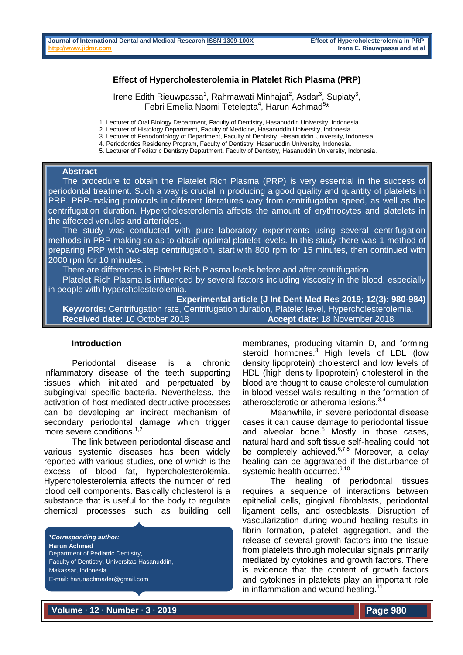### **Effect of Hypercholesterolemia in Platelet Rich Plasma (PRP)**

Irene Edith Rieuwpassa<sup>1</sup>, Rahmawati Minhajat<sup>2</sup>, Asdar<sup>3</sup>, Supiaty<sup>3</sup>, Febri Emelia Naomi Tetelepta<sup>4</sup>, Harun Achmad<sup>5\*</sup>

1. Lecturer of Oral Biology Department, Faculty of Dentistry, Hasanuddin University, Indonesia.

2. Lecturer of Histology Department, Faculty of Medicine, Hasanuddin University, Indonesia.

3. Lecturer of Periodontology of Department, Faculty of Dentistry, Hasanuddin University, Indonesia.

4. Periodontics Residency Program, Faculty of Dentistry, Hasanuddin University, Indonesia.

5. Lecturer of Pediatric Dentistry Department, Faculty of Dentistry, Hasanuddin University, Indonesia.

#### **Abstract**

 The procedure to obtain the Platelet Rich Plasma (PRP) is very essential in the success of periodontal treatment. Such a way is crucial in producing a good quality and quantity of platelets in PRP. PRP-making protocols in different literatures vary from centrifugation speed, as well as the centrifugation duration. Hypercholesterolemia affects the amount of erythrocytes and platelets in the affected venules and arterioles.

 The study was conducted with pure laboratory experiments using several centrifugation methods in PRP making so as to obtain optimal platelet levels. In this study there was 1 method of preparing PRP with two-step centrifugation, start with 800 rpm for 15 minutes, then continued with 2000 rpm for 10 minutes.

There are differences in Platelet Rich Plasma levels before and after centrifugation.

 Platelet Rich Plasma is influenced by several factors including viscosity in the blood, especially in people with hypercholesterolemia.

**Experimental article (J Int Dent Med Res 2019; 12(3): 980-984) Keywords:** Centrifugation rate, Centrifugation duration, Platelet level, Hypercholesterolemia. **Received date:** 10 October 2018 **Accept date:** 18 November 2018

#### **Introduction**

Periodontal disease is a chronic inflammatory disease of the teeth supporting tissues which initiated and perpetuated by subgingival specific bacteria. Nevertheless, the activation of host-mediated dectructive processes can be developing an indirect mechanism of secondary periodontal damage which trigger more severe conditions.<sup>1,2</sup>

The link between periodontal disease and various systemic diseases has been widely reported with various studies, one of which is the excess of blood fat, hypercholesterolemia. Hypercholesterolemia affects the number of red blood cell components. Basically cholesterol is a substance that is useful for the body to regulate chemical processes such as building cell

*\*Corresponding author:* **Harun Achmad** Department of Pediatric Dentistry, Faculty of Dentistry, Universitas Hasanuddin, Makassar, Indonesia. E-mail: harunachmader@gmail.com

membranes, producing vitamin D, and forming steroid hormones.<sup>3</sup> High levels of LDL (low density lipoprotein) cholesterol and low levels of HDL (high density lipoprotein) cholesterol in the blood are thought to cause cholesterol cumulation in blood vessel walls resulting in the formation of atherosclerotic or atheroma lesions.<sup>3,4</sup>

Meanwhile, in severe periodontal disease cases it can cause damage to periodontal tissue and alveolar bone.<sup>5</sup> Mostly in those cases, natural hard and soft tissue self-healing could not be completely achieved. $6,7,8$  Moreover, a delay healing can be aggravated if the disturbance of systemic health occurred.<sup>9,10</sup>

The healing of periodontal tissues requires a sequence of interactions between epithelial cells, gingival fibroblasts, periodontal ligament cells, and osteoblasts. Disruption of vascularization during wound healing results in fibrin formation, platelet aggregation, and the release of several growth factors into the tissue from platelets through molecular signals primarily mediated by cytokines and growth factors. There is evidence that the content of growth factors and cytokines in platelets play an important role in inflammation and wound healing.<sup>11</sup>

**Volume ∙ 12 ∙ Number ∙ 3 ∙ 2019**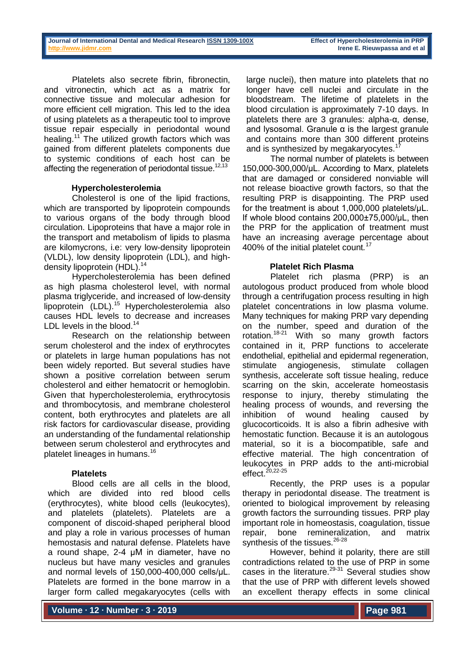Platelets also secrete fibrin, fibronectin, and vitronectin, which act as a matrix for connective tissue and molecular adhesion for more efficient cell migration. This led to the idea of using platelets as a therapeutic tool to improve tissue repair especially in periodontal wound healing.<sup>11</sup> The utilized growth factors which was gained from different platelets components due to systemic conditions of each host can be affecting the regeneration of periodontal tissue.<sup>12,13</sup>

## **Hypercholesterolemia**

Cholesterol is one of the lipid fractions, which are transported by lipoprotein compounds to various organs of the body through blood circulation. Lipoproteins that have a major role in the transport and metabolism of lipids to plasma are kilomycrons, i.e: very low-density lipoprotein (VLDL), low density lipoprotein (LDL), and highdensity lipoprotein (HDL).<sup>14</sup>

Hypercholesterolemia has been defined as high plasma cholesterol level, with normal plasma triglyceride, and increased of low-density  $lipoprotein$  (LDL).<sup>15</sup> Hypercholesterolemia also causes HDL levels to decrease and increases LDL levels in the blood.<sup>14</sup>

Research on the relationship between serum cholesterol and the index of erythrocytes or platelets in large human populations has not been widely reported. But several studies have shown a positive correlation between serum cholesterol and either hematocrit or hemoglobin. Given that hypercholesterolemia, erythrocytosis and thrombocytosis, and membrane cholesterol content, both erythrocytes and platelets are all risk factors for cardiovascular disease, providing an understanding of the fundamental relationship between serum cholesterol and erythrocytes and platelet lineages in humans.<sup>16</sup>

# **Platelets**

Blood cells are all cells in the blood, which are divided into red blood cells (erythrocytes), white blood cells (leukocytes), and platelets (platelets). Platelets are a component of discoid-shaped peripheral blood and play a role in various processes of human hemostasis and natural defense. Platelets have a round shape, 2-4 µM in diameter, have no nucleus but have many vesicles and granules and normal levels of 150,000-400,000 cells/μL. Platelets are formed in the bone marrow in a larger form called megakaryocytes (cells with

large nuclei), then mature into platelets that no longer have cell nuclei and circulate in the bloodstream. The lifetime of platelets in the blood circulation is approximately 7-10 days. In platelets there are 3 granules: alpha-α, dense, and lysosomal. Granule  $\alpha$  is the largest granule and contains more than 300 different proteins and is synthesized by megakaryocytes.<sup>17</sup>

The normal number of platelets is between 150,000-300,000/μL. According to Marx, platelets that are damaged or considered nonviable will not release bioactive growth factors, so that the resulting PRP is disappointing. The PRP used for the treatment is about 1,000,000 platelets/μL. If whole blood contains 200,000±75,000/μL, then the PRP for the application of treatment must have an increasing average percentage about 400% of the initial platelet count*.* 17

## **Platelet Rich Plasma**

Platelet rich plasma (PRP) is an autologous product produced from whole blood through a centrifugation process resulting in high platelet concentrations in low plasma volume. Many techniques for making PRP vary depending on the number, speed and duration of the rotation.<sup>18-21</sup> With so many growth factors contained in it, PRP functions to accelerate endothelial, epithelial and epidermal regeneration, stimulate angiogenesis, stimulate collagen synthesis, accelerate soft tissue healing, reduce scarring on the skin, accelerate homeostasis response to injury, thereby stimulating the healing process of wounds, and reversing the inhibition of wound healing caused by glucocorticoids. It is also a fibrin adhesive with hemostatic function. Because it is an autologous material, so it is a biocompatible, safe and effective material. The high concentration of leukocytes in PRP adds to the anti-microbial effect. $^{20,22-25}$ 

Recently, the PRP uses is a popular therapy in periodontal disease. The treatment is oriented to biological improvement by releasing growth factors the surrounding tissues. PRP play important role in homeostasis, coagulation, tissue repair, bone remineralization, and matrix synthesis of the tissues.<sup>26-28</sup>

However, behind it polarity, there are still contradictions related to the use of PRP in some cases in the literature.<sup>29-31</sup> Several studies show that the use of PRP with different levels showed an excellent therapy effects in some clinical

**Volume ∙ 12 ∙ Number ∙ 3 ∙ 2019**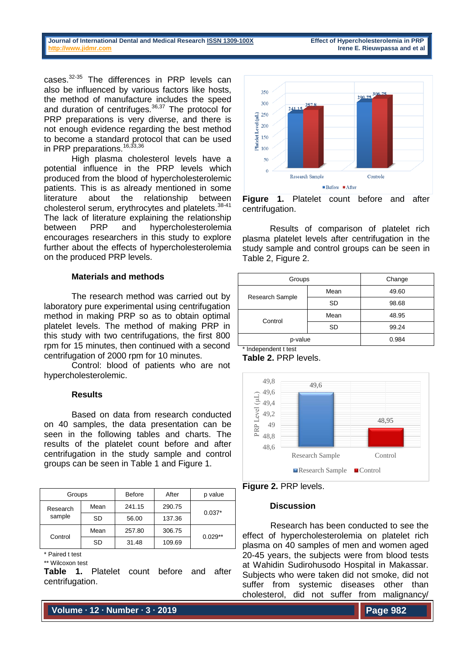cases.32-35 The differences in PRP levels can also be influenced by various factors like hosts, the method of manufacture includes the speed and duration of centrifuges.<sup>36,37</sup> The protocol for PRP preparations is very diverse, and there is not enough evidence regarding the best method to become a standard protocol that can be used in PRP preparations.<sup>16,33,36</sup>

High plasma cholesterol levels have a potential influence in the PRP levels which produced from the blood of hypercholesterolemic patients. This is as already mentioned in some literature about the relationship between cholesterol serum, erythrocytes and platelets.<sup>38-41</sup> The lack of literature explaining the relationship between PRP and hypercholesterolemia encourages researchers in this study to explore further about the effects of hypercholesterolemia on the produced PRP levels.

# **Materials and methods**

The research method was carried out by laboratory pure experimental using centrifugation method in making PRP so as to obtain optimal platelet levels. The method of making PRP in this study with two centrifugations, the first 800 rpm for 15 minutes, then continued with a second centrifugation of 2000 rpm for 10 minutes.

Control: blood of patients who are not hypercholesterolemic.

### **Results**

Based on data from research conducted on 40 samples, the data presentation can be seen in the following tables and charts. The results of the platelet count before and after centrifugation in the study sample and control groups can be seen in Table 1 and Figure 1.

| Groups             |      | Before | After  | p value   |
|--------------------|------|--------|--------|-----------|
| Research<br>sample | Mean | 241.15 | 290.75 | $0.037*$  |
|                    | SD   | 56.00  | 137.36 |           |
| Control            | Mean | 257.80 | 306.75 | $0.029**$ |
|                    | SD   | 31.48  | 109.69 |           |

\* Paired t test

\*\* Wilcoxon test

**Table 1.** Platelet count before and after centrifugation.



**Figure 1.** Platelet count before and after centrifugation.

Results of comparison of platelet rich plasma platelet levels after centrifugation in the study sample and control groups can be seen in Table 2, Figure 2.

| Groups          | Change    |       |
|-----------------|-----------|-------|
|                 | Mean      | 49.60 |
| Research Sample | <b>SD</b> | 98.68 |
| Control         | Mean      | 48.95 |
|                 | <b>SD</b> | 99.24 |
| p-value         | 0.984     |       |

\* Independent t test

**Table 2.** PRP levels.





#### **Discussion**

Research has been conducted to see the effect of hypercholesterolemia on platelet rich plasma on 40 samples of men and women aged 20-45 years, the subjects were from blood tests at Wahidin Sudirohusodo Hospital in Makassar. Subjects who were taken did not smoke, did not suffer from systemic diseases other than cholesterol, did not suffer from malignancy/

**Volume ∙ 12 ∙ Number ∙ 3 ∙ 2019**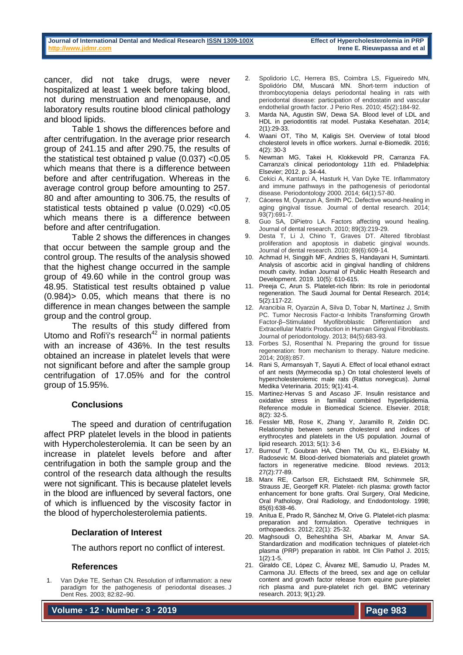cancer, did not take drugs, were never hospitalized at least 1 week before taking blood, not during menstruation and menopause, and laboratory results routine blood clinical pathology and blood lipids.

Table 1 shows the differences before and after centrifugation. In the average prior research group of 241.15 and after 290.75, the results of the statistical test obtained p value (0.037) <0.05 which means that there is a difference between before and after centrifugation. Whereas in the average control group before amounting to 257. 80 and after amounting to 306.75, the results of statistical tests obtained p value (0.029) <0.05 which means there is a difference between before and after centrifugation.

Table 2 shows the differences in changes that occur between the sample group and the control group. The results of the analysis showed that the highest change occurred in the sample group of 49.60 while in the control group was 48.95. Statistical test results obtained p value (0.984)> 0.05, which means that there is no difference in mean changes between the sample group and the control group.

The results of this study differed from Utomo and Rofi'i's research $42$  in normal patients with an increase of 436%. In the test results obtained an increase in platelet levels that were not significant before and after the sample group centrifugation of 17.05% and for the control group of 15.95%.

### **Conclusions**

The speed and duration of centrifugation affect PRP platelet levels in the blood in patients with Hypercholesterolemia. It can be seen by an increase in platelet levels before and after centrifugation in both the sample group and the control of the research data although the results were not significant. This is because platelet levels in the blood are influenced by several factors, one of which is influenced by the viscosity factor in the blood of hypercholesterolemia patients.

### **Declaration of Interest**

The authors report no conflict of interest.

#### **References**

Van Dyke TE, Serhan CN. Resolution of inflammation: a new paradigm for the pathogenesis of periodontal diseases. J Dent Res. 2003; 82:82–90.

**Volume ∙ 12 ∙ Number ∙ 3 ∙ 2019**

- 2. Spolidorio LC, Herrera BS, Coimbra LS, Figueiredo MN, Spolidório DM, Muscará MN. Short‐term induction of thrombocytopenia delays periodontal healing in rats with periodontal disease: participation of endostatin and vascular endothelial growth factor. J Perio Res. 2010; 45(2):184-92.
- 3. Marda NA, Agustin SW, Dewa SA. Blood level of LDL and HDL in periodontitis rat model. Pustaka Kesehatan. 2014; 2(1):29-33.
- 4. Waani OT, Tiho M, Kaligis SH. Overview of total blood cholesterol levels in office workers. Jurnal e-Biomedik. 2016; 4(2): 30-3
- 5. Newman MG, Takei H, Klokkevold PR, Carranza FA. Carranza's clinical periodontology 11th ed. Philadelphia: Elsevier; 2012. p. 34-44.
- 6. Cekici A, Kantarci A, Hasturk H, Van Dyke TE. Inflammatory and immune pathways in the pathogenesis of periodontal disease. Periodontology 2000. 2014; 64(1):57-80.
- 7. Cáceres M, Oyarzun A, Smith PC. Defective wound-healing in aging gingival tissue. Journal of dental research. 2014; 93(7):691-7.
- 8. Guo SA, DiPietro LA. Factors affecting wound healing. Journal of dental research. 2010; 89(3):219-29.
- 9. Desta T, Li J, Chino T, Graves DT. Altered fibroblast proliferation and apoptosis in diabetic gingival wounds. Journal of dental research. 2010; 89(6):609-14.
- 10. Achmad H, Singgih MF, Andries S, Handayani H, Sumintarti. Analysis of ascorbic acid in gingival handling of childrens mouth cavity. Indian Journal of Public Health Research and Development. 2019. 10(5): 610-615.
- 11. Preeja C, Arun S. Platelet-rich fibrin: Its role in periodontal regeneration. The Saudi Journal for Dental Research. 2014; 5(2):117-22.
- 12. Arancibia R, Oyarzún A, Silva D, Tobar N, Martínez J, Smith PC. Tumor Necrosis Factor-α Inhibits Transforming Growth Factor-β–Stimulated Myofibroblastic Differentiation and Extracellular Matrix Production in Human Gingival Fibroblasts. Journal of periodontology. 2013; 84(5):683-93.
- 13. Forbes SJ, Rosenthal N. Preparing the ground for tissue regeneration: from mechanism to therapy. Nature medicine. 2014; 20(8):857.
- 14. Rani S, Armansyah T, Sayuti A. Effect of local ethanol extract of ant nests (Myrmecodia sp.) On total cholesterol levels of hypercholesterolemic male rats (Rattus norvegicus). Jurnal Medika Veterinaria. 2015; 9(1):41-4.
- 15. Martinez-Hervas S and Ascaso JF. Insulin resistance and oxidative stress in familial combined hyperlipidemia. Reference module in Biomedical Science. Elsevier. 2018; 8(2): 32-5.
- 16. Fessler MB, Rose K, Zhang Y, Jaramillo R, Zeldin DC. Relationship between serum cholesterol and indices of erythrocytes and platelets in the US population. Journal of lipid research. 2013; 5(1): 3-6
- 17. Burnouf T, Goubran HA, Chen TM, Ou KL, El-Ekiaby M, Radosevic M. Blood-derived biomaterials and platelet growth factors in regenerative medicine. Blood reviews. 2013; 27(2):77-89.
- 18. Marx RE, Carlson ER, Eichstaedt RM, Schimmele SR, Strauss JE, Georgeff KR. Platelet- rich plasma: growth factor enhancement for bone grafts. Oral Surgery, Oral Medicine, Oral Pathology, Oral Radiology, and Endodontology. 1998; 85(6):638-46.
- 19. Anitua E, Prado R, Sánchez M, Orive G. Platelet-rich plasma: preparation and formulation. Operative techniques in orthopaedics. 2012; 22(1): 25-32.
- 20. Maghsoudi O, Beheshtiha SH, Abarkar M, Anvar SA. Standardization and modification techniques of platelet-rich plasma (PRP) preparation in rabbit. Int Clin Pathol J. 2015; 1(2):1-5.
- 21. Giraldo CE, López C, Álvarez ME, Samudio IJ, Prades M, Carmona JU. Effects of the breed, sex and age on cellular content and growth factor release from equine pure-platelet rich plasma and pure-platelet rich gel. BMC veterinary research. 2013; 9(1):29.